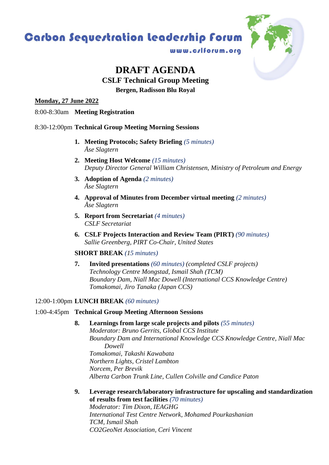# **Carbon Sequestration leadership forum**



www.c/lforum.org

## **DRAFT AGENDA CSLF Technical Group Meeting**

**Bergen, Radisson Blu Royal**

**Monday, 27 June 2022**

8:00-8:30am **Meeting Registration**

### 8:30-12:00pm **Technical Group Meeting Morning Sessions**

- **1. Meeting Protocols; Safety Briefing** *(5 minutes) Åse Slagtern*
- **2. Meeting Host Welcome** *(15 minutes) Deputy Director General William Christensen, Ministry of Petroleum and Energy*
- **3. Adoption of Agenda** *(2 minutes) Åse Slagtern*
- **4. Approval of Minutes from December virtual meeting** *(2 minutes) Åse Slagtern*
- **5. Report from Secretariat** *(4 minutes) CSLF Secretariat*
- **6. CSLF Projects Interaction and Review Team (PIRT)** *(90 minutes) Sallie Greenberg, PIRT Co-Chair, United States*

#### **SHORT BREAK** *(15 minutes)*

**7. Invited presentations** *(60 minutes) (completed CSLF projects) Technology Centre Mongstad, Ismail Shah (TCM) Boundary Dam, Niall Mac Dowell (International CCS Knowledge Centre) Tomakomai, Jiro Tanaka (Japan CCS)*

#### 12:00-1:00pm **LUNCH BREAK** *(60 minutes)*

#### 1:00-4:45pm **Technical Group Meeting Afternoon Sessions**

- **8. Learnings from large scale projects and pilots** *(55 minutes) Moderator: Bruno Gerrits, Global CCS Institute Boundary Dam and International Knowledge CCS Knowledge Centre, Niall Mac Dowell Tomakomai, Takashi Kawabata Northern Lights, Cristel Lambton Norcem, Per Brevik Alberta Carbon Trunk Line, Cullen Colville and Candice Paton*
- **9. Leverage research/laboratory infrastructure for upscaling and standardization of results from test facilities** *(70 minutes) Moderator: Tim Dixon, IEAGHG International Test Centre Network, Mohamed Pourkashanian TCM, Ismail Shah CO2GeoNet Association, Ceri Vincent*